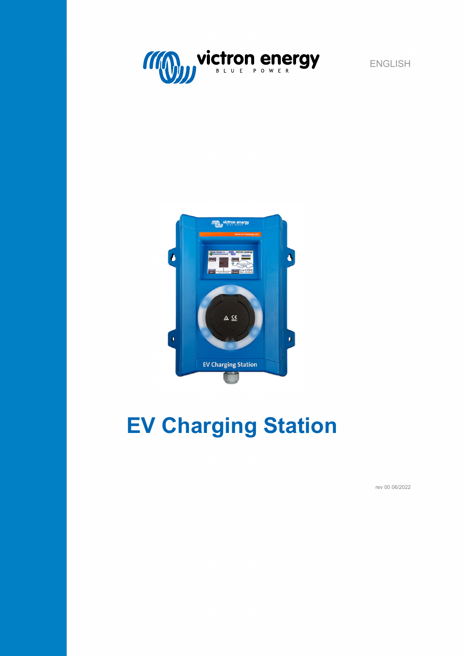



# **EV Charging Station**

rev 00 06/2022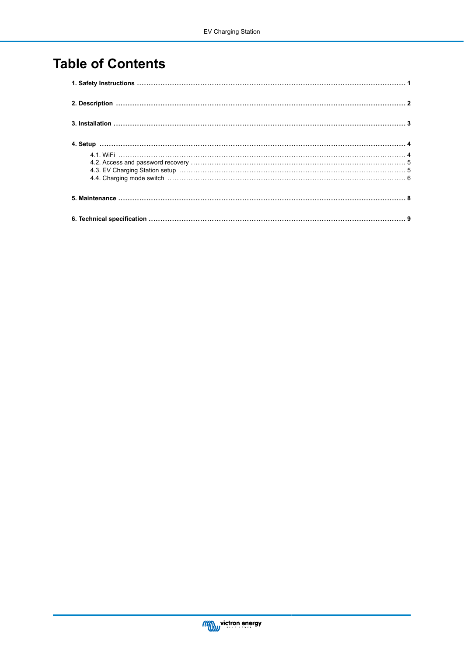# **Table of Contents**

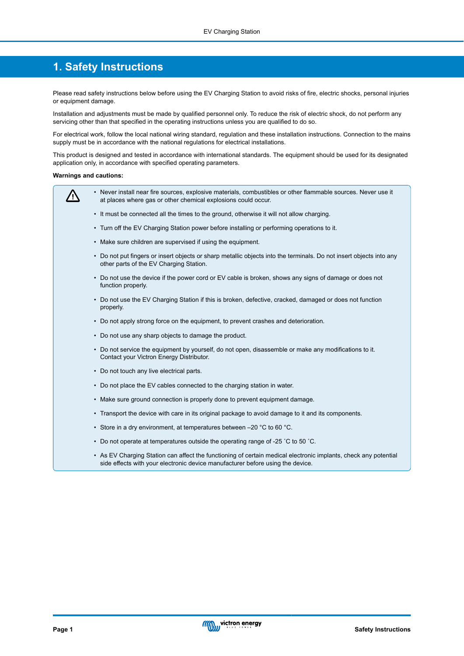### <span id="page-2-0"></span>**1. Safety Instructions**

Please read safety instructions below before using the EV Charging Station to avoid risks of fire, electric shocks, personal injuries or equipment damage.

Installation and adjustments must be made by qualified personnel only. To reduce the risk of electric shock, do not perform any servicing other than that specified in the operating instructions unless you are qualified to do so.

For electrical work, follow the local national wiring standard, regulation and these installation instructions. Connection to the mains supply must be in accordance with the national regulations for electrical installations.

This product is designed and tested in accordance with international standards. The equipment should be used for its designated application only, in accordance with specified operating parameters.

#### **Warnings and cautions:**

ΛN

- Never install near fire sources, explosive materials, combustibles or other flammable sources. Never use it at places where gas or other chemical explosions could occur.
	- It must be connected all the times to the ground, otherwise it will not allow charging.
	- Turn off the EV Charging Station power before installing or performing operations to it.
	- Make sure children are supervised if using the equipment.
	- Do not put fingers or insert objects or sharp metallic objects into the terminals. Do not insert objects into any other parts of the EV Charging Station.
	- Do not use the device if the power cord or EV cable is broken, shows any signs of damage or does not function properly.
	- Do not use the EV Charging Station if this is broken, defective, cracked, damaged or does not function properly.
	- Do not apply strong force on the equipment, to prevent crashes and deterioration.
	- Do not use any sharp objects to damage the product.
	- Do not service the equipment by yourself, do not open, disassemble or make any modifications to it. Contact your Victron Energy Distributor.
	- Do not touch any live electrical parts.
	- Do not place the EV cables connected to the charging station in water.
	- Make sure ground connection is properly done to prevent equipment damage.
	- Transport the device with care in its original package to avoid damage to it and its components.
	- Store in a dry environment, at temperatures between –20 °C to 60 °C.
	- Do not operate at temperatures outside the operating range of -25 ˚C to 50 ˚C.
	- As EV Charging Station can affect the functioning of certain medical electronic implants, check any potential side effects with your electronic device manufacturer before using the device.

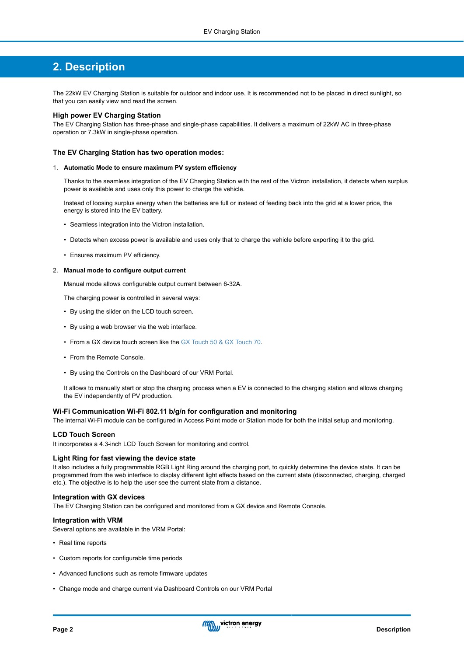## <span id="page-3-0"></span>**2. Description**

The 22kW EV Charging Station is suitable for outdoor and indoor use. It is recommended not to be placed in direct sunlight, so that you can easily view and read the screen.

#### **High power EV Charging Station**

The EV Charging Station has three-phase and single-phase capabilities. It delivers a maximum of 22kW AC in three-phase operation or 7.3kW in single-phase operation.

#### **The EV Charging Station has two operation modes:**

#### 1. **Automatic Mode to ensure maximum PV system efficiency**

Thanks to the seamless integration of the EV Charging Station with the rest of the Victron installation, it detects when surplus power is available and uses only this power to charge the vehicle.

Instead of loosing surplus energy when the batteries are full or instead of feeding back into the grid at a lower price, the energy is stored into the EV battery.

- Seamless integration into the Victron installation.
- Detects when excess power is available and uses only that to charge the vehicle before exporting it to the grid.
- Ensures maximum PV efficiency.

#### 2. **Manual mode to configure output current**

Manual mode allows configurable output current between 6-32A.

The charging power is controlled in several ways:

- By using the slider on the LCD touch screen.
- By using a web browser via the web interface.
- From a GX device touch screen like the [GX Touch 50 & GX Touch 70.](https://www.victronenergy.com/panel-systems-remote-monitoring/gx-touch-50)
- From the Remote Console.
- By using the Controls on the Dashboard of our VRM Portal.

It allows to manually start or stop the charging process when a EV is connected to the charging station and allows charging the EV independently of PV production.

#### **Wi-Fi Communication Wi-Fi 802.11 b/g/n for configuration and monitoring**

The internal Wi-Fi module can be configured in Access Point mode or Station mode for both the initial setup and monitoring.

#### **LCD Touch Screen**

It incorporates a 4.3-inch LCD Touch Screen for monitoring and control.

#### **Light Ring for fast viewing the device state**

It also includes a fully programmable RGB Light Ring around the charging port, to quickly determine the device state. It can be programmed from the web interface to display different light effects based on the current state (disconnected, charging, charged etc.). The objective is to help the user see the current state from a distance.

#### **Integration with GX devices**

The EV Charging Station can be configured and monitored from a GX device and Remote Console.

#### **Integration with VRM**

Several options are available in the VRM Portal:

- Real time reports
- Custom reports for configurable time periods
- Advanced functions such as remote firmware updates
- Change mode and charge current via Dashboard Controls on our VRM Portal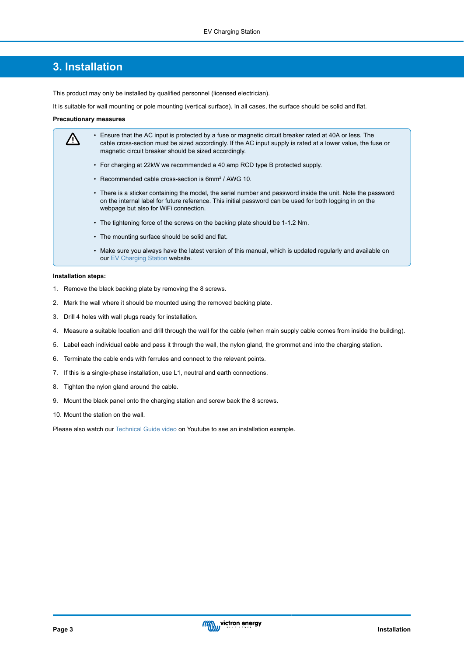### <span id="page-4-0"></span>**3. Installation**

This product may only be installed by qualified personnel (licensed electrician).

It is suitable for wall mounting or pole mounting (vertical surface). In all cases, the surface should be solid and flat.

#### **Precautionary measures**

| • Ensure that the AC input is protected by a fuse or magnetic circuit breaker rated at 40A or less. The<br>cable cross-section must be sized accordingly. If the AC input supply is rated at a lower value, the fuse or<br>magnetic circuit breaker should be sized accordingly. |
|----------------------------------------------------------------------------------------------------------------------------------------------------------------------------------------------------------------------------------------------------------------------------------|
| • For charging at 22kW we recommended a 40 amp RCD type B protected supply.                                                                                                                                                                                                      |
| • Recommended cable cross-section is 6mm <sup>2</sup> / AWG 10.                                                                                                                                                                                                                  |
| • There is a sticker containing the model, the serial number and password inside the unit. Note the password<br>on the internal label for future reference. This initial password can be used for both logging in on the<br>webpage but also for WiFi connection.                |
| • The tightening force of the screws on the backing plate should be 1-1.2 Nm.                                                                                                                                                                                                    |
| • The mounting surface should be solid and flat.                                                                                                                                                                                                                                 |
| • Make sure you always have the latest version of this manual, which is updated regularly and available on                                                                                                                                                                       |

#### **Installation steps:**

1. Remove the black backing plate by removing the 8 screws.

our [EV Charging Station](https://www.victronenergy.com/accessories/ev-charging-station) website.

- 2. Mark the wall where it should be mounted using the removed backing plate.
- 3. Drill 4 holes with wall plugs ready for installation.
- 4. Measure a suitable location and drill through the wall for the cable (when main supply cable comes from inside the building).
- 5. Label each individual cable and pass it through the wall, the nylon gland, the grommet and into the charging station.
- 6. Terminate the cable ends with ferrules and connect to the relevant points.
- 7. If this is a single-phase installation, use L1, neutral and earth connections.
- 8. Tighten the nylon gland around the cable.
- 9. Mount the black panel onto the charging station and screw back the 8 screws.
- 10. Mount the station on the wall.

Please also watch our [Technical Guide video](https://www.youtube.com/watch?v=H7rQLGDTOM8&t=298s) on Youtube to see an installation example.

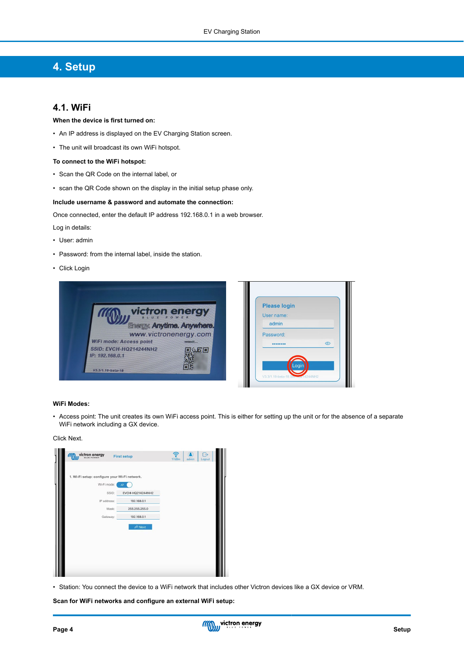# <span id="page-5-0"></span>**4. Setup**

#### **4.1. WiFi**

#### **When the device is first turned on:**

- An IP address is displayed on the EV Charging Station screen.
- The unit will broadcast its own WiFi hotspot.

#### **To connect to the WiFi hotspot:**

- Scan the QR Code on the internal label, or
- scan the QR Code shown on the display in the initial setup phase only.

#### **Include username & password and automate the connection:**

Once connected, enter the default IP address 192.168.0.1 in a web browser.

- Log in details:
- User: admin
- Password: from the internal label, inside the station.
- Click Login



#### **WiFi Modes:**

• Access point: The unit creates its own WiFi access point. This is either for setting up the unit or for the absence of a separate WiFi network including a GX device.

#### Click Next.

| <b>victron energy</b>                                        | <b>First setup</b> | 17dBm | admin | ۰.<br>Logout |
|--------------------------------------------------------------|--------------------|-------|-------|--------------|
| 1. Wi-Fi setup: configure your Wi-Fi network.<br>Wi-Fi mode: | <b>AP</b>          |       |       |              |
| SSID:                                                        | EVCH-HQ214244NH2   |       |       |              |
| IP address:                                                  | 192.168.0.1        |       |       |              |
| Mask:                                                        | 255.255.255.0      |       |       |              |
| Gateway:                                                     | 192.168.0.1        |       |       |              |
|                                                              | $\approx$ Next     |       |       |              |
|                                                              |                    |       |       |              |
|                                                              |                    |       |       |              |
|                                                              |                    |       |       |              |
|                                                              |                    |       |       |              |
|                                                              |                    |       |       |              |

• Station: You connect the device to a WiFi network that includes other Victron devices like a GX device or VRM.

**Scan for WiFi networks and configure an external WiFi setup:**

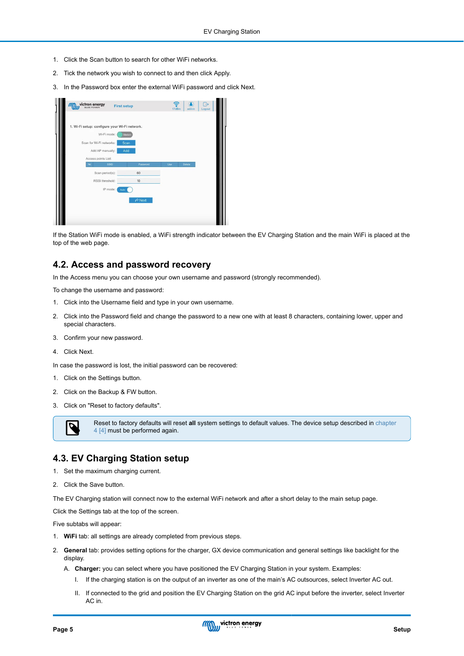- <span id="page-6-0"></span>1. Click the Scan button to search for other WiFi networks.
- 2. Tick the network you wish to connect to and then click Apply.
- 3. In the Password box enter the external WiFi password and click Next.

| 1. Wi-Fi setup: configure your Wi-Fi network. |             |     |        |  |
|-----------------------------------------------|-------------|-----|--------|--|
| Wi-Fi mode:                                   | Station     |     |        |  |
| Scan for Wi-Fi networks:<br>Add AP manually:  | Scan<br>Add |     |        |  |
| Access points List:                           |             |     |        |  |
| <b>SSID</b><br>N <sub>2</sub>                 | Password    | Use | Delete |  |
| Scan period(s):                               | 60          |     |        |  |
| RSSI threshold:                               | 10          |     |        |  |
| IP mode:<br>Auto                              |             |     |        |  |
|                                               | $R$ Next    |     |        |  |

If the Station WiFi mode is enabled, a WiFi strength indicator between the EV Charging Station and the main WiFi is placed at the top of the web page.

#### **4.2. Access and password recovery**

In the Access menu you can choose your own username and password (strongly recommended).

To change the username and password:

- 1. Click into the Username field and type in your own username.
- 2. Click into the Password field and change the password to a new one with at least 8 characters, containing lower, upper and special characters.
- 3. Confirm your new password.
- 4. Click Next.

In case the password is lost, the initial password can be recovered:

- 1. Click on the Settings button.
- 2. Click on the Backup & FW button.
- 3. Click on "Reset to factory defaults".



Reset to factory defaults will reset **all** system settings to default values. The device setup described in [chapter](#page-5-0) [4 \[4\]](#page-5-0) must be performed again.

#### **4.3. EV Charging Station setup**

- 1. Set the maximum charging current.
- 2. Click the Save button.

The EV Charging station will connect now to the external WiFi network and after a short delay to the main setup page.

Click the Settings tab at the top of the screen.

Five subtabs will appear:

- 1. **WiFi** tab: all settings are already completed from previous steps.
- 2. **General** tab: provides setting options for the charger, GX device communication and general settings like backlight for the display.
	- A. **Charger:** you can select where you have positioned the EV Charging Station in your system. Examples:
		- I. If the charging station is on the output of an inverter as one of the main's AC outsources, select Inverter AC out.
		- II. If connected to the grid and position the EV Charging Station on the grid AC input before the inverter, select Inverter AC in.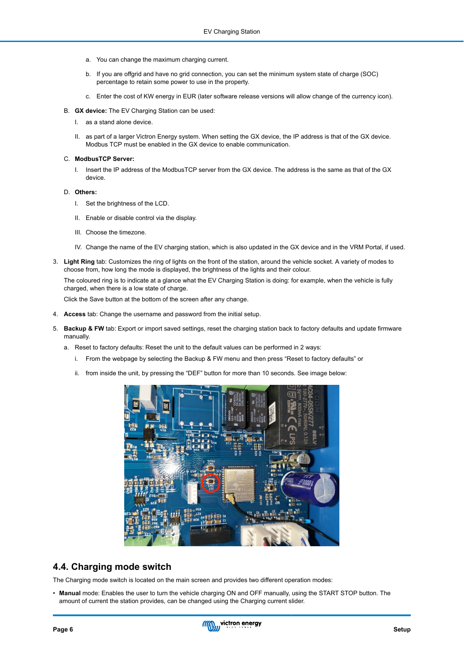- <span id="page-7-0"></span>a. You can change the maximum charging current.
- b. If you are offgrid and have no grid connection, you can set the minimum system state of charge (SOC) percentage to retain some power to use in the property.
- c. Enter the cost of KW energy in EUR (later software release versions will allow change of the currency icon).
- B. **GX device:** The EV Charging Station can be used:
	- I. as a stand alone device.
	- II. as part of a larger Victron Energy system. When setting the GX device, the IP address is that of the GX device. Modbus TCP must be enabled in the GX device to enable communication.
- C. **ModbusTCP Server:**
	- I. Insert the IP address of the ModbusTCP server from the GX device. The address is the same as that of the GX device.
- D. **Others:**
	- I. Set the brightness of the LCD.
	- II. Enable or disable control via the display.
	- III. Choose the timezone.
	- IV. Change the name of the EV charging station, which is also updated in the GX device and in the VRM Portal, if used.
- 3. **Light Ring** tab: Customizes the ring of lights on the front of the station, around the vehicle socket. A variety of modes to choose from, how long the mode is displayed, the brightness of the lights and their colour.

The coloured ring is to indicate at a glance what the EV Charging Station is doing: for example, when the vehicle is fully charged, when there is a low state of charge.

Click the Save button at the bottom of the screen after any change.

- 4. **Access** tab: Change the username and password from the initial setup.
- 5. **Backup & FW** tab: Export or import saved settings, reset the charging station back to factory defaults and update firmware manually.
	- a. Reset to factory defaults: Reset the unit to the default values can be performed in 2 ways:
		- i. From the webpage by selecting the Backup & FW menu and then press "Reset to factory defaults" or
		- ii. from inside the unit, by pressing the "DEF" button for more than 10 seconds. See image below:



#### **4.4. Charging mode switch**

The Charging mode switch is located on the main screen and provides two different operation modes:

• **Manual** mode: Enables the user to turn the vehicle charging ON and OFF manually, using the START STOP button. The amount of current the station provides, can be changed using the Charging current slider.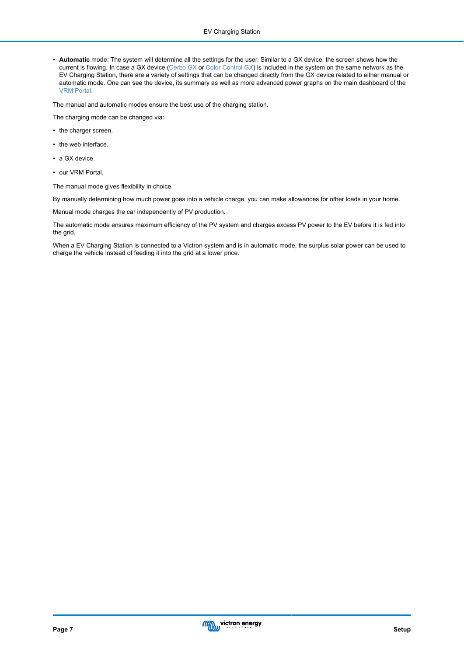• **Automatic** mode: The system will determine all the settings for the user. Similar to a GX device, the screen shows how the current is flowing. In case a GX device ([Cerbo GX](https://www.victronenergy.com/panel-systems-remote-monitoring/cerbo-gx) or [Color Control GX](https://www.victronenergy.com/panel-systems-remote-monitoring/color-control)) is included in the system on the same network as the EV Charging Station, there are a variety of settings that can be changed directly from the GX device related to either manual or automatic mode. One can see the device, its summary as well as more advanced power graphs on the main dashboard of the [VRM Portal.](https://www.victronenergy.com/panel-systems-remote-monitoring/vrm)

The manual and automatic modes ensure the best use of the charging station.

The charging mode can be changed via:

- the charger screen.
- the web interface.
- a GX device.
- our VRM Portal.

The manual mode gives flexibility in choice.

By manually determining how much power goes into a vehicle charge, you can make allowances for other loads in your home.

Manual mode charges the car independently of PV production.

The automatic mode ensures maximum efficiency of the PV system and charges excess PV power to the EV before it is fed into the grid.

When a EV Charging Station is connected to a Victron system and is in automatic mode, the surplus solar power can be used to charge the vehicle instead of feeding it into the grid at a lower price.

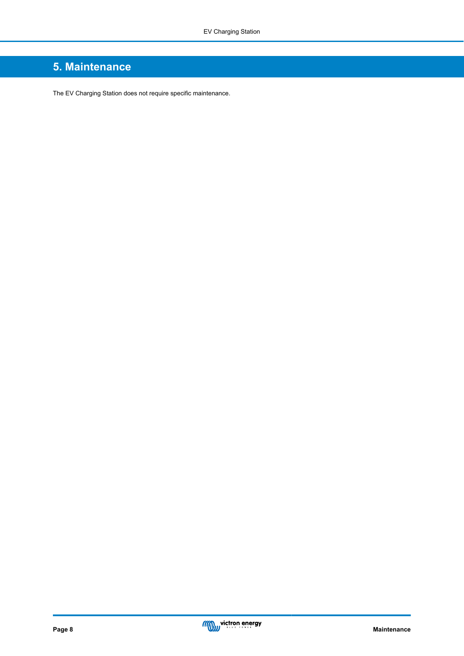# <span id="page-9-0"></span>**5. Maintenance**

The EV Charging Station does not require specific maintenance.